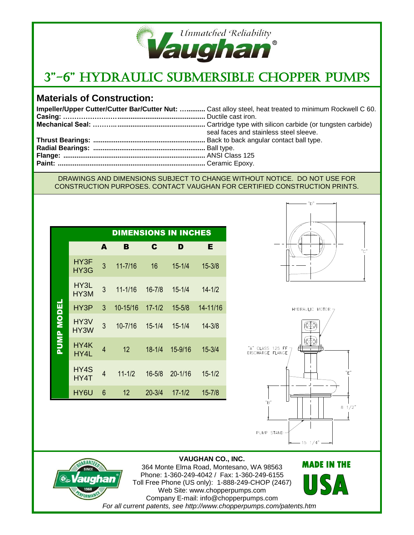

# 3"-6" Hydraulic Submersible Chopper Pumps

### **Materials of Construction:**

| Impeller/Upper Cutter/Cutter Bar/Cutter Nut:  Cast alloy steel, heat treated to minimum Rockwell C 60. |
|--------------------------------------------------------------------------------------------------------|
|                                                                                                        |
|                                                                                                        |
| seal faces and stainless steel sleeve.                                                                 |
|                                                                                                        |
|                                                                                                        |
|                                                                                                        |
|                                                                                                        |
|                                                                                                        |

#### DRAWINGS AND DIMENSIONS SUBJECT TO CHANGE WITHOUT NOTICE. DO NOT USE FOR CONSTRUCTION PURPOSES. CONTACT VAUGHAN FOR CERTIFIED CONSTRUCTION PRINTS.

|                   | <b>DIMENSIONS IN INCHES</b> |   |                 |            |             |            |  |  |
|-------------------|-----------------------------|---|-----------------|------------|-------------|------------|--|--|
|                   |                             | A | B               | C          | D           | Е          |  |  |
| <b>PUMP MODEL</b> | HY3F<br>HY3G                | 3 | $11 - 7/16$     | 16         | $15 - 1/4$  | $15 - 3/8$ |  |  |
|                   | HY3L<br>HY3M                | 3 | $11 - 1/16$     | $16 - 7/8$ | $15 - 1/4$  | $14 - 1/2$ |  |  |
|                   | HY3P                        | 3 | 10-15/16        | $17 - 1/2$ | $15 - 5/8$  | 14-11/16   |  |  |
|                   | HY3V<br>HY3W                | 3 | 10-7/16         | $15 - 1/4$ | $15 - 1/4$  | $14 - 3/8$ |  |  |
|                   | HY4K<br>HY4L                | 4 | 12              | $18 - 1/4$ | 15-9/16     | $15 - 3/4$ |  |  |
|                   | HY4S<br>HY4T                | 4 | $11 - 1/2$      | $16 - 5/8$ | $20 - 1/16$ | $15 - 1/2$ |  |  |
|                   | HY6U                        | 6 | 12 <sup>2</sup> | $20 - 3/4$ | $17 - 1/2$  | $15 - 7/8$ |  |  |







**VAUGHAN CO., INC.** 364 Monte Elma Road, Montesano, WA 98563 Phone: 1-360-249-4042 / Fax: 1-360-249-6155 Toll Free Phone (US only): 1-888-249-CHOP (2467) Web Site: www.chopperpumps.com Company E-mail: info@chopperpumps.com *For all current patents, see http://www.chopperpumps.com/patents.htm*